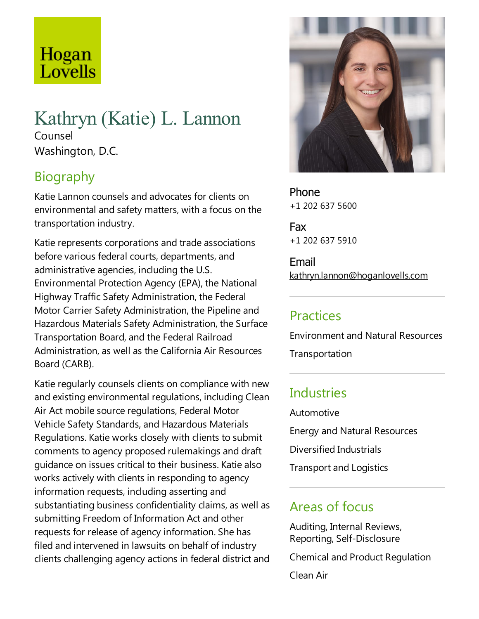# Hogan Lovells

# Kathryn (Katie) L. Lannon Counsel

Washington, D.C.

# Biography

KatieLannon counsels and advocates for clients on environmental and safety matters, with a focus on the transportation industry.

Katie represents corporations and trade associations before various federal courts, departments, and administrative agencies, including the U.S. Environmental Protection Agency (EPA), the National Highway Traffic Safety Administration, the Federal Motor Carrier Safety Administration, the Pipeline and Hazardous Materials Safety Administration, the Surface Transportation Board, and the Federal Railroad Administration,as well as the California Air Resources Board (CARB).

Katie regularly counsels clients on compliance with new and existing environmental regulations, including Clean Air Act mobile source regulations, Federal Motor Vehicle Safety Standards, and Hazardous Materials Regulations. Katie works closely with clients to submit comments to agency proposed rulemakings and draft guidance on issues critical to their business. Katiealso works actively with clients in responding to agency information requests, including asserting and substantiating business confidentiality claims, as well as submitting Freedom of Information Act and other requests for release of agency information. She has filed and intervened in lawsuits on behalf of industry clients challenging agency actions in federal district and



Phone +1 202 637 5600

Fax +1 202 637 5910

Email kathryn.lannon@hoganlovells.com

# **Practices**

Environment and Natural Resources

Transportation

# **Industries**

Automotive Energy and Natural Resources Diversified Industrials Transport and Logistics

#### Areas of focus

Auditing, Internal Reviews, Reporting, Self-Disclosure

Chemical and Product Regulation

Clean Air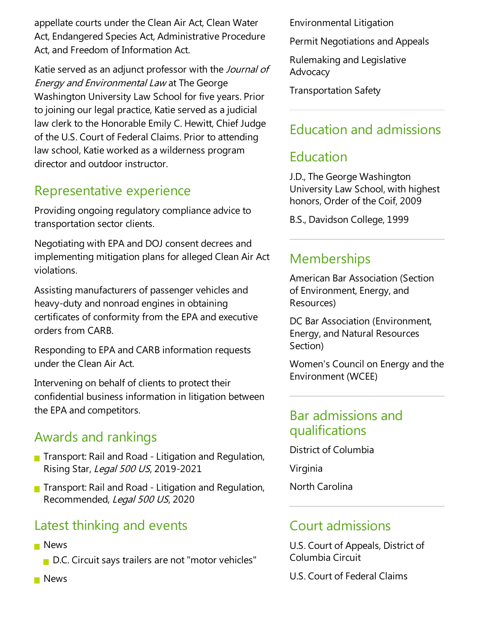appellate courts under the Clean Air Act, Clean Water Act, Endangered Species Act, Administrative Procedure Act, and Freedom of Information Act.

Katie served as an adjunct professor with the Journal of Energy and Environmental Law at The George Washington University Law School for five years. Prior to joining our legal practice, Katie served as a judicial law clerk to the Honorable Emily C. Hewitt, Chief Judge of the U.S. Court of Federal Claims. Prior to attending law school, Katie worked as a wilderness program director and outdoor instructor.

### Representative experience

Providing ongoing regulatory compliance advice to transportation sector clients.

Negotiating with EPA and DOJ consent decrees and implementing mitigation plans for alleged Clean Air Act violations.

Assisting manufacturers of passenger vehicles and heavy-duty and nonroad engines in obtaining certificates of conformity from theEPA and executive orders from CARB.

Responding to EPA and CARB information requests under the Clean Air Act.

Intervening on behalf of clients to protect their confidential business information in litigation between the EPA and competitors.

# Awards and rankings

- $\blacksquare$  Transport: Rail and Road Litigation and Regulation, Rising Star, Legal 500 US, 2019-2021
- **T** Transport: Rail and Road Litigation and Regulation, Recommended, Legal 500 US, 2020

# Latest thinking and events

**News** 

D.C. Circuit says trailers are not "motor vehicles"

Environmental Litigation

Permit Negotiations and Appeals

Rulemaking and Legislative **Advocacy** 

Transportation Safety

### Education and admissions

#### Education

J.D.,The George Washington University Law School, with highest honors, Order of the Coif, 2009

B.S., Davidson College, 1999

#### **Memberships**

American Bar Association (Section of Environment, Energy, and Resources)

DC Bar Association (Environment, Energy,and Natural Resources Section)

Women's Council on Energy and the Environment (WCEE)

#### Bar admissions and qualifications

District of Columbia

Virginia

North Carolina

#### Court admissions

U.S. Court of Appeals, District of Columbia Circuit

U.S. Court of Federal Claims

**News**